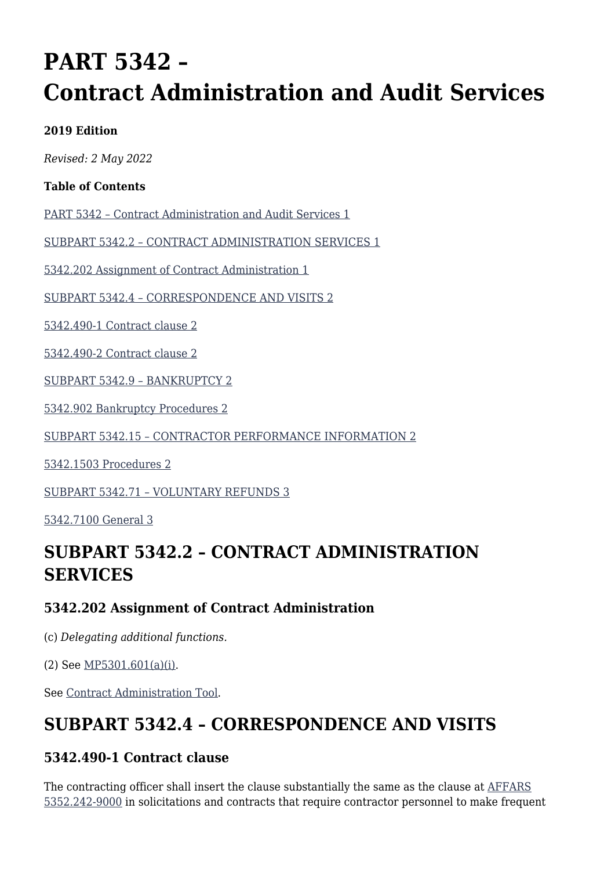# **PART 5342 – Contract Administration and Audit Services**

#### **2019 Edition**

*Revised: 2 May 2022*

#### **Table of Contents**

[PART 5342 – Contract Administration and Audit Services 1](#page--1-0)

[SUBPART 5342.2 – CONTRACT ADMINISTRATION SERVICES 1](#page--1-0)

[5342.202 Assignment of Contract Administration 1](#page--1-0)

[SUBPART 5342.4 – CORRESPONDENCE AND VISITS 2](#page--1-0)

[5342.490-1 Contract clause 2](#page--1-0)

[5342.490-2 Contract clause 2](#page--1-0)

[SUBPART 5342.9 – BANKRUPTCY 2](#page--1-0)

[5342.902 Bankruptcy Procedures 2](#page--1-0)

[SUBPART 5342.15 – CONTRACTOR PERFORMANCE INFORMATION 2](#page--1-0)

[5342.1503 Procedures 2](#page--1-0)

[SUBPART 5342.71 – VOLUNTARY REFUNDS 3](#page--1-0)

[5342.7100 General 3](#page--1-0)

### **SUBPART 5342.2 – CONTRACT ADMINISTRATION SERVICES**

#### **5342.202 Assignment of Contract Administration**

(c) *Delegating additional functions.*

(2) See [MP5301.601\(a\)\(i\).](https://origin-www.acquisition.gov/%5Brp:link:affars-mp-AFFARS-MP_PART-mp_5301.601(a)(i)%5D#p5342202c2)

See [Contract Administration Tool.](https://usaf.dps.mil/teams/PK-Central/AFCC/CAT/default.aspx)

### **SUBPART 5342.4 – CORRESPONDENCE AND VISITS**

#### **5342.490-1 Contract clause**

The contracting officer shall insert the clause substantially the same as the clause at [AFFARS](https://origin-www.acquisition.gov/%5Brp:link:affars-part-5352%5D#p53522429000) [5352.242-9000](https://origin-www.acquisition.gov/%5Brp:link:affars-part-5352%5D#p53522429000) in solicitations and contracts that require contractor personnel to make frequent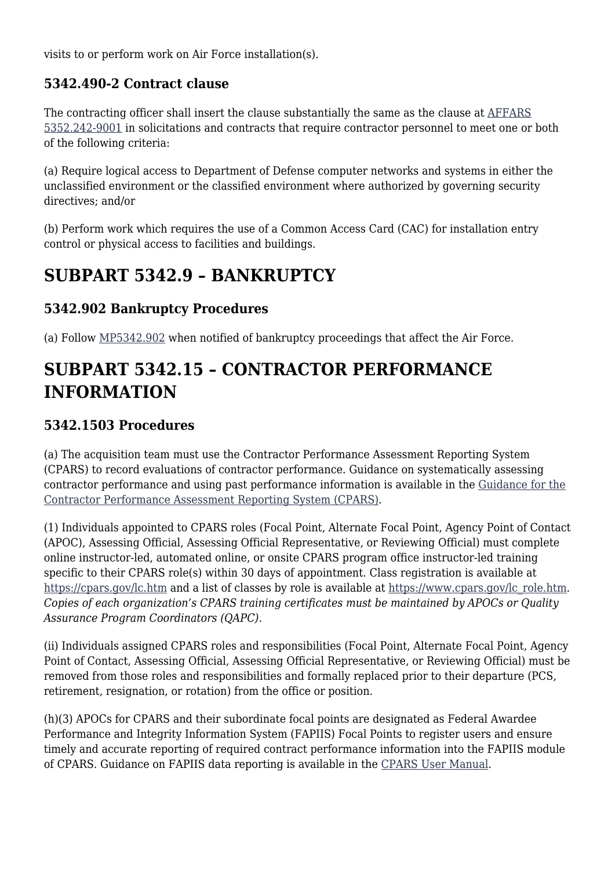visits to or perform work on Air Force installation(s).

### **5342.490-2 Contract clause**

The contracting officer shall insert the clause substantially the same as the clause at [AFFARS](https://origin-www.acquisition.gov/%5Brp:link:affars-part-5352%5D#p53522429001) [5352.242-9001](https://origin-www.acquisition.gov/%5Brp:link:affars-part-5352%5D#p53522429001) in solicitations and contracts that require contractor personnel to meet one or both of the following criteria:

(a) Require logical access to Department of Defense computer networks and systems in either the unclassified environment or the classified environment where authorized by governing security directives; and/or

(b) Perform work which requires the use of a Common Access Card (CAC) for installation entry control or physical access to facilities and buildings.

### **SUBPART 5342.9 – BANKRUPTCY**

### **5342.902 Bankruptcy Procedures**

(a) Follow [MP5342.902](https://origin-www.acquisition.gov/%5Brp:link:affars-mp-AFFARS-MP_PART-mp_5342.902%5D) when notified of bankruptcy proceedings that affect the Air Force.

## **SUBPART 5342.15 – CONTRACTOR PERFORMANCE INFORMATION**

### **5342.1503 Procedures**

(a) The acquisition team must use the Contractor Performance Assessment Reporting System (CPARS) to record evaluations of contractor performance. Guidance on systematically assessing contractor performance and using past performance information is available in the [Guidance for the](https://cpars.gov/) [Contractor Performance Assessment Reporting System \(CPARS\).](https://cpars.gov/)

(1) Individuals appointed to CPARS roles (Focal Point, Alternate Focal Point, Agency Point of Contact (APOC), Assessing Official, Assessing Official Representative, or Reviewing Official) must complete online instructor-led, automated online, or onsite CPARS program office instructor-led training specific to their CPARS role(s) within 30 days of appointment. Class registration is available at <https://cpars.gov/lc.htm> and a list of classes by role is available at [https://www.cpars.gov/lc\\_role.htm](https://www.cpars.gov/lc_role.htm)*. Copies of each organization's CPARS training certificates must be maintained by APOCs or Quality Assurance Program Coordinators (QAPC).*

(ii) Individuals assigned CPARS roles and responsibilities (Focal Point, Alternate Focal Point, Agency Point of Contact, Assessing Official, Assessing Official Representative, or Reviewing Official) must be removed from those roles and responsibilities and formally replaced prior to their departure (PCS, retirement, resignation, or rotation) from the office or position.

(h)(3) APOCs for CPARS and their subordinate focal points are designated as Federal Awardee Performance and Integrity Information System (FAPIIS) Focal Points to register users and ensure timely and accurate reporting of required contract performance information into the FAPIIS module of CPARS. Guidance on FAPIIS data reporting is available in the [CPARS User Manual.](https://cpars.gov/documents/CPARS_User_Manual.pdf)